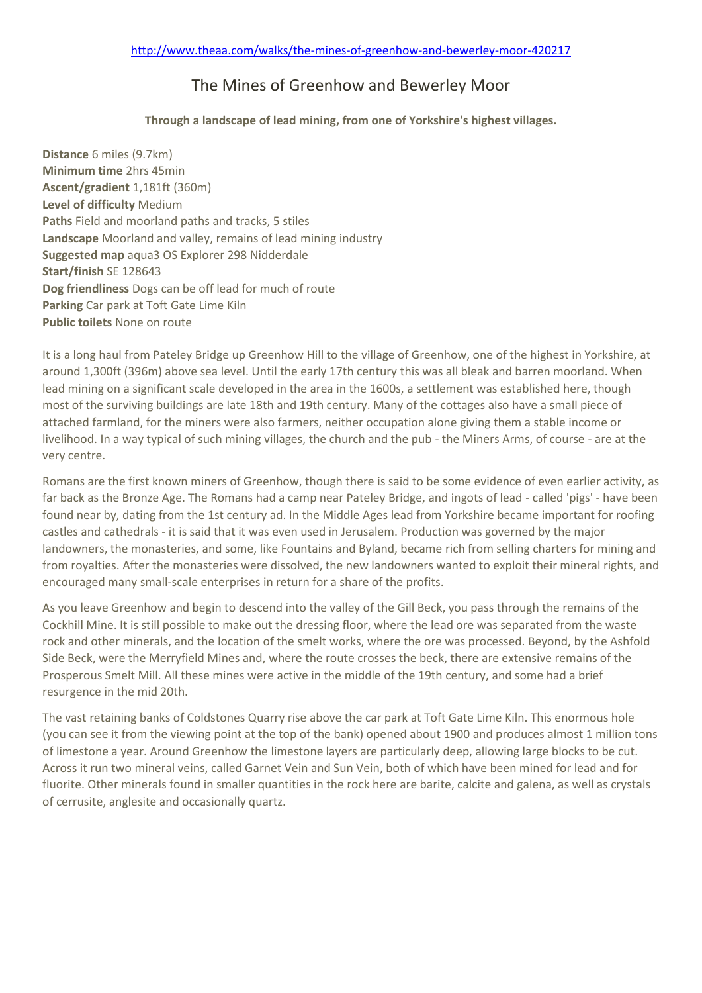## The Mines of Greenhow and Bewerley Moor

## **Through a landscape of lead mining, from one of Yorkshire's highest villages.**

**Distance** 6 miles (9.7km) **Minimum time** 2hrs 45min **Ascent/gradient** 1,181ft (360m) **Level of difficulty** Medium **Paths** Field and moorland paths and tracks, 5 stiles **Landscape** Moorland and valley, remains of lead mining industry **Suggested map** aqua3 OS Explorer 298 Nidderdale **Start/finish** SE 128643 **Dog friendliness** Dogs can be off lead for much of route **Parking** Car park at Toft Gate Lime Kiln **Public toilets** None on route

It is a long haul from Pateley Bridge up Greenhow Hill to the village of Greenhow, one of the highest in Yorkshire, at around 1,300ft (396m) above sea level. Until the early 17th century this was all bleak and barren moorland. When lead mining on a significant scale developed in the area in the 1600s, a settlement was established here, though most of the surviving buildings are late 18th and 19th century. Many of the cottages also have a small piece of attached farmland, for the miners were also farmers, neither occupation alone giving them a stable income or livelihood. In a way typical of such mining villages, the church and the pub - the Miners Arms, of course - are at the very centre.

Romans are the first known miners of Greenhow, though there is said to be some evidence of even earlier activity, as far back as the Bronze Age. The Romans had a camp near Pateley Bridge, and ingots of lead - called 'pigs' - have been found near by, dating from the 1st century ad. In the Middle Ages lead from Yorkshire became important for roofing castles and cathedrals - it is said that it was even used in Jerusalem. Production was governed by the major landowners, the monasteries, and some, like Fountains and Byland, became rich from selling charters for mining and from royalties. After the monasteries were dissolved, the new landowners wanted to exploit their mineral rights, and encouraged many small-scale enterprises in return for a share of the profits.

As you leave Greenhow and begin to descend into the valley of the Gill Beck, you pass through the remains of the Cockhill Mine. It is still possible to make out the dressing floor, where the lead ore was separated from the waste rock and other minerals, and the location of the smelt works, where the ore was processed. Beyond, by the Ashfold Side Beck, were the Merryfield Mines and, where the route crosses the beck, there are extensive remains of the Prosperous Smelt Mill. All these mines were active in the middle of the 19th century, and some had a brief resurgence in the mid 20th.

The vast retaining banks of Coldstones Quarry rise above the car park at Toft Gate Lime Kiln. This enormous hole (you can see it from the viewing point at the top of the bank) opened about 1900 and produces almost 1 million tons of limestone a year. Around Greenhow the limestone layers are particularly deep, allowing large blocks to be cut. Across it run two mineral veins, called Garnet Vein and Sun Vein, both of which have been mined for lead and for fluorite. Other minerals found in smaller quantities in the rock here are barite, calcite and galena, as well as crystals of cerrusite, anglesite and occasionally quartz.